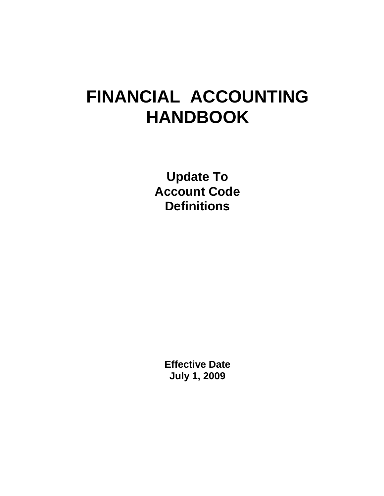## **FINANCIAL ACCOUNTING HANDBOOK**

**Update To Account Code Definitions**

> **Effective Date July 1, 2009**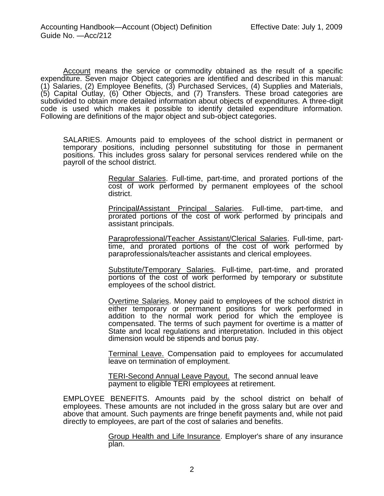Account means the service or commodity obtained as the result of a specific expenditure. Seven major Object categories are identified and described in this manual: (1) Salaries, (2) Employee Benefits, (3) Purchased Services, (4) Supplies and Materials, (5) Capital Outlay, (6) Other Objects, and (7) Transfers. These broad categories are subdivided to obtain more detailed information about objects of expenditures. A three-digit code is used which makes it possible to identify detailed expenditure information. Following are definitions of the major object and sub-object categories.

SALARIES. Amounts paid to employees of the school district in permanent or temporary positions, including personnel substituting for those in permanent positions. This includes gross salary for personal services rendered while on the payroll of the school district.

> Regular Salaries. Full-time, part-time, and prorated portions of the cost of work performed by permanent employees of the school district.

> Principal**/**Assistant Principal Salaries. Full-time, part-time, and prorated portions of the cost of work performed by principals and assistant principals.

> Paraprofessional/Teacher Assistant/Clerical Salaries. Full-time, parttime, and prorated portions of the cost of work performed by paraprofessionals/teacher assistants and clerical employees.

> Substitute/Temporary Salaries. Full-time, part-time, and prorated portions of the cost of work performed by temporary or substitute employees of the school district.

> Overtime Salaries. Money paid to employees of the school district in either temporary or permanent positions for work performed in addition to the normal work period for which the employee is compensated. The terms of such payment for overtime is a matter of State and local regulations and interpretation. Included in this object dimension would be stipends and bonus pay.

> Terminal Leave. Compensation paid to employees for accumulated leave on termination of employment.

TERI-Second Annual Leave Payout. The second annual leave payment to eligible TERI employees at retirement.

EMPLOYEE BENEFITS. Amounts paid by the school district on behalf of employees. These amounts are not included in the gross salary but are over and above that amount. Such payments are fringe benefit payments and, while not paid directly to employees, are part of the cost of salaries and benefits.

> Group Health and Life Insurance. Employer's share of any insurance plan.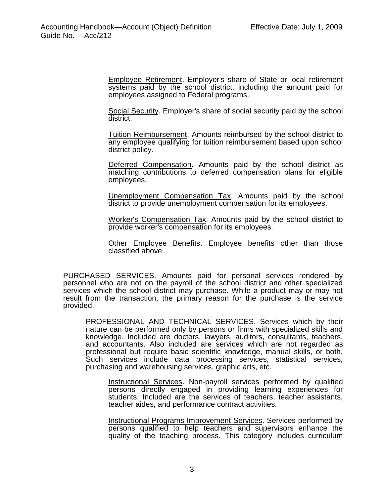Employee Retirement. Employer's share of State or local retirement systems paid by the school district, including the amount paid for employees assigned to Federal programs.

Social Security. Employer's share of social security paid by the school district.

Tuition Reimbursement. Amounts reimbursed by the school district to any employee qualifying for tuition reimbursement based upon school district policy.

Deferred Compensation. Amounts paid by the school district as matching contributions to deferred compensation plans for eligible employees.

Unemployment Compensation Tax. Amounts paid by the school district to provide unemployment compensation for its employees.

Worker's Compensation Tax. Amounts paid by the school district to provide worker's compensation for its employees.

Other Employee Benefits. Employee benefits other than those classified above.

PURCHASED SERVICES. Amounts paid for personal services rendered by personnel who are not on the payroll of the school district and other specialized services which the school district may purchase. While a product may or may not result from the transaction, the primary reason for the purchase is the service provided.

PROFESSIONAL AND TECHNICAL SERVICES. Services which by their nature can be performed only by persons or firms with specialized skills and knowledge. Included are doctors, lawyers, auditors, consultants, teachers, and accountants. Also included are services which are not regarded as professional but require basic scientific knowledge, manual skills, or both. Such services include data processing services, statistical services, purchasing and warehousing services, graphic arts, etc.

Instructional Services. Non-payroll services performed by qualified persons directly engaged in providing learning experiences for students. Included are the services of teachers, teacher assistants, teacher aides, and performance contract activities.

Instructional Programs Improvement Services. Services performed by persons qualified to help teachers and supervisors enhance the quality of the teaching process. This category includes curriculum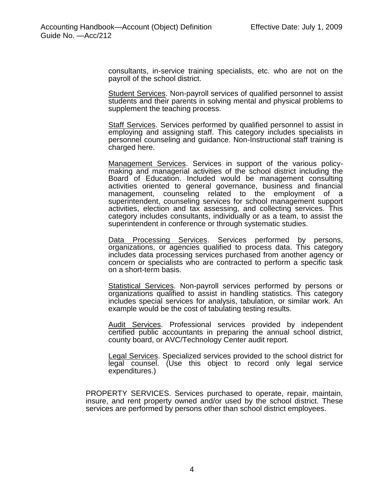consultants, in-service training specialists, etc. who are not on the payroll of the school district.

Student Services. Non-payroll services of qualified personnel to assist students and their parents in solving mental and physical problems to supplement the teaching process.

Staff Services. Services performed by qualified personnel to assist in employing and assigning staff. This category includes specialists in personnel counseling and guidance. Non-Instructional staff training is charged here.

Management Services. Services in support of the various policymaking and managerial activities of the school district including the Board of Education. Included would be management consulting activities oriented to general governance, business and financial management, counseling related to the employment of a superintendent, counseling services for school management support activities, election and tax assessing, and collecting services. This category includes consultants, individually or as a team, to assist the superintendent in conference or through systematic studies.

Data Processing Services. Services performed by persons, organizations, or agencies qualified to process data. This category includes data processing services purchased from another agency or concern or specialists who are contracted to perform a specific task on a short-term basis.

Statistical Services. Non-payroll services performed by persons or organizations qualified to assist in handling statistics. This category includes special services for analysis, tabulation, or similar work. An example would be the cost of tabulating testing results.

Audit Services. Professional services provided by independent certified public accountants in preparing the annual school district, county board, or AVC/Technology Center audit report.

Legal Services. Specialized services provided to the school district for legal counsel. (Use this object to record only legal service expenditures.)

 PROPERTY SERVICES. Services purchased to operate, repair, maintain, insure, and rent property owned and/or used by the school district. These services are performed by persons other than school district employees.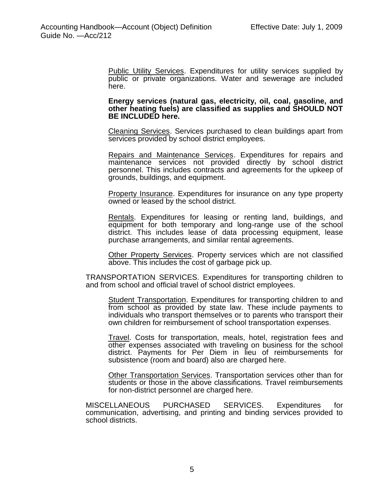Public Utility Services. Expenditures for utility services supplied by public or private organizations. Water and sewerage are included here.

**Energy services (natural gas, electricity, oil, coal, gasoline, and other heating fuels) are classified as supplies and SHOULD NOT BE INCLUDED here.**

Cleaning Services. Services purchased to clean buildings apart from services provided by school district employees.

Repairs and Maintenance Services. Expenditures for repairs and maintenance services not provided directly by school district personnel. This includes contracts and agreements for the upkeep of grounds, buildings, and equipment.

Property Insurance. Expenditures for insurance on any type property owned or leased by the school district.

Rentals. Expenditures for leasing or renting land, buildings, and equipment for both temporary and long-range use of the school district. This includes lease of data processing equipment, lease purchase arrangements, and similar rental agreements.

Other Property Services. Property services which are not classified above. This includes the cost of garbage pick up.

TRANSPORTATION SERVICES. Expenditures for transporting children to and from school and official travel of school district employees.

Student Transportation. Expenditures for transporting children to and from school as provided by state law. These include payments to individuals who transport themselves or to parents who transport their own children for reimbursement of school transportation expenses.

Travel. Costs for transportation, meals, hotel, registration fees and other expenses associated with traveling on business for the school district. Payments for Per Diem in lieu of reimbursements for subsistence (room and board) also are charged here.

Other Transportation Services. Transportation services other than for students or those in the above classifications. Travel reimbursements for non-district personnel are charged here.

MISCELLANEOUS PURCHASED SERVICES. Expenditures for communication, advertising, and printing and binding services provided to school districts.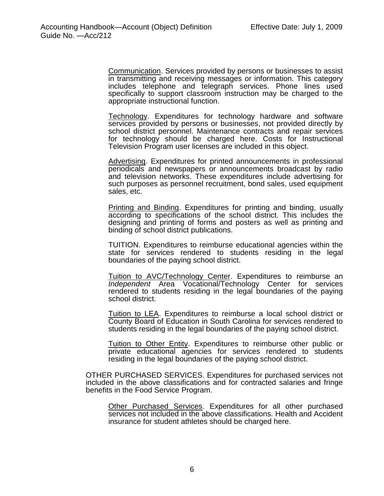Communication. Services provided by persons or businesses to assist in transmitting and receiving messages or information. This category includes telephone and telegraph services. Phone lines used specifically to support classroom instruction may be charged to the appropriate instructional function.

Technology. Expenditures for technology hardware and software services provided by persons or businesses, not provided directly by school district personnel. Maintenance contracts and repair services for technology should be charged here. Costs for Instructional Television Program user licenses are included in this object.

Advertising. Expenditures for printed announcements in professional periodicals and newspapers or announcements broadcast by radio and television networks. These expenditures include advertising for such purposes as personnel recruitment, bond sales, used equipment sales, etc.

Printing and Binding. Expenditures for printing and binding, usually according to specifications of the school district. This includes the designing and printing of forms and posters as well as printing and binding of school district publications.

TUITION. Expenditures to reimburse educational agencies within the state for services rendered to students residing in the legal boundaries of the paying school district.

Tuition to AVC/Technology Center. Expenditures to reimburse an *Independent* Area Vocational/Technology Center for services rendered to students residing in the legal boundaries of the paying school district.

Tuition to LEA. Expenditures to reimburse a local school district or County Board of Education in South Carolina for services rendered to students residing in the legal boundaries of the paying school district.

Tuition to Other Entity. Expenditures to reimburse other public or private educational agencies for services rendered to students residing in the legal boundaries of the paying school district.

OTHER PURCHASED SERVICES. Expenditures for purchased services not included in the above classifications and for contracted salaries and fringe benefits in the Food Service Program.

**Other Purchased Services.** Expenditures for all other purchased services not included in the above classifications. Health and Accident insurance for student athletes should be charged here.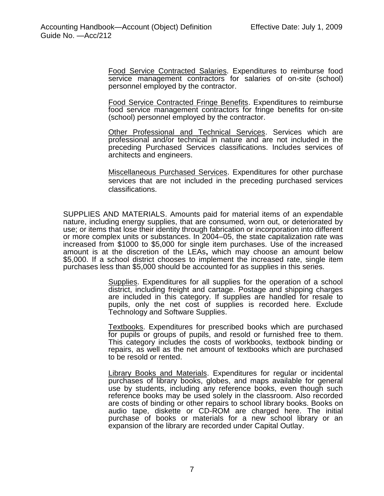Food Service Contracted Salaries. Expenditures to reimburse food service management contractors for salaries of on-site (school) personnel employed by the contractor.

Food Service Contracted Fringe Benefits. Expenditures to reimburse food service management contractors for fringe benefits for on-site (school) personnel employed by the contractor.

Other Professional and Technical Services. Services which are professional and/or technical in nature and are not included in the preceding Purchased Services classifications. Includes services of architects and engineers.

Miscellaneous Purchased Services. Expenditures for other purchase services that are not included in the preceding purchased services classifications.

SUPPLIES AND MATERIALS. Amounts paid for material items of an expendable nature, including energy supplies, that are consumed, worn out, or deteriorated by use; or items that lose their identity through fabrication or incorporation into different or more complex units or substances. In 2004–05, the state capitalization rate was increased from \$1000 to \$5,000 for single item purchases. Use of the increased amount is at the discretion of the LEAs**,** which may choose an amount below \$5,000. If a school district chooses to implement the increased rate, single item purchases less than \$5,000 should be accounted for as supplies in this series.

> Supplies. Expenditures for all supplies for the operation of a school district, including freight and cartage. Postage and shipping charges are included in this category. If supplies are handled for resale to pupils, only the net cost of supplies is recorded here. Exclude Technology and Software Supplies.

> Textbooks. Expenditures for prescribed books which are purchased for pupils or groups of pupils, and resold or furnished free to them. This category includes the costs of workbooks, textbook binding or repairs, as well as the net amount of textbooks which are purchased to be resold or rented.

> Library Books and Materials. Expenditures for regular or incidental purchases of library books, globes, and maps available for general use by students, including any reference books, even though such reference books may be used solely in the classroom. Also recorded are costs of binding or other repairs to school library books. Books on audio tape, diskette or CD-ROM are charged here. The initial purchase of books or materials for a new school library or an expansion of the library are recorded under Capital Outlay.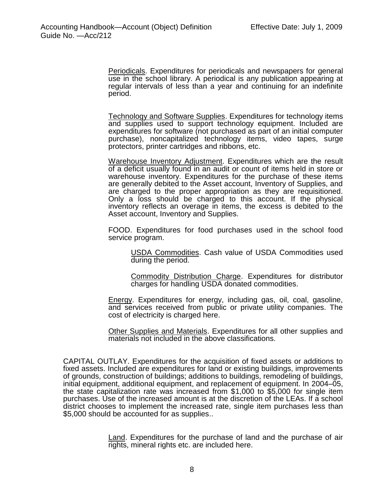Periodicals. Expenditures for periodicals and newspapers for general use in the school library. A periodical is any publication appearing at regular intervals of less than a year and continuing for an indefinite period.

Technology and Software Supplies. Expenditures for technology items and supplies used to support technology equipment. Included are expenditures for software (not purchased as part of an initial computer purchase), noncapitalized technology items, video tapes, surge protectors, printer cartridges and ribbons, etc.

Warehouse Inventory Adjustment. Expenditures which are the result of a deficit usually found in an audit or count of items held in store or warehouse inventory. Expenditures for the purchase of these items are generally debited to the Asset account, Inventory of Supplies, and are charged to the proper appropriation as they are requisitioned. Only a loss should be charged to this account. If the physical inventory reflects an overage in items, the excess is debited to the Asset account, Inventory and Supplies.

FOOD. Expenditures for food purchases used in the school food service program.

USDA Commodities. Cash value of USDA Commodities used during the period.

Commodity Distribution Charge. Expenditures for distributor charges for handling USDA donated commodities.

Energy. Expenditures for energy, including gas, oil, coal, gasoline, and services received from public or private utility companies. The cost of electricity is charged here.

Other Supplies and Materials. Expenditures for all other supplies and materials not included in the above classifications.

CAPITAL OUTLAY. Expenditures for the acquisition of fixed assets or additions to fixed assets. Included are expenditures for land or existing buildings, improvements of grounds, construction of buildings; additions to buildings, remodeling of buildings, initial equipment, additional equipment, and replacement of equipment. In 2004–05, the state capitalization rate was increased from \$1,000 to \$5,000 for single item purchases. Use of the increased amount is at the discretion of the LEAs. If a school district chooses to implement the increased rate, single item purchases less than \$5,000 should be accounted for as supplies..

> Land. Expenditures for the purchase of land and the purchase of air rights, mineral rights etc. are included here.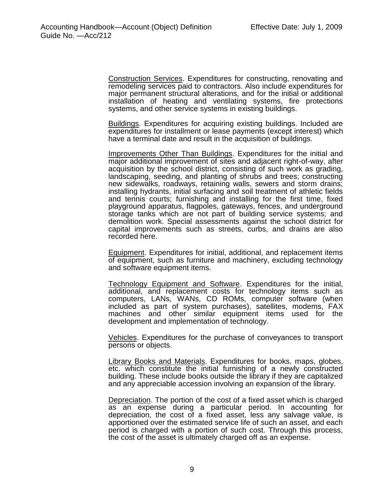Construction Services. Expenditures for constructing, renovating and remodeling services paid to contractors. Also include expenditures for major permanent structural alterations, and for the initial or additional installation of heating and ventilating systems, fire protections systems, and other service systems in existing buildings.

Buildings. Expenditures for acquiring existing buildings. Included are expenditures for installment or lease payments (except interest) which have a terminal date and result in the acquisition of buildings.

Improvements Other Than Buildings. Expenditures for the initial and major additional improvement of sites and adjacent right-of-way, after acquisition by the school district, consisting of such work as grading, landscaping, seeding, and planting of shrubs and trees; constructing new sidewalks, roadways, retaining walls, sewers and storm drains; installing hydrants, initial surfacing and soil treatment of athletic fields and tennis courts; furnishing and installing for the first time, fixed playground apparatus, flagpoles, gateways, fences, and underground storage tanks which are not part of building service systems; and demolition work. Special assessments against the school district for capital improvements such as streets, curbs, and drains are also recorded here.

Equipment. Expenditures for initial, additional, and replacement items of equipment, such as furniture and machinery, excluding technology and software equipment items.

Technology Equipment and Software. Expenditures for the initial, additional, and replacement costs for technology items such as computers, LANs, WANs, CD ROMs, computer software (when included as part of system purchases), satellites, modems, FAX machines and other similar equipment items used for the development and implementation of technology.

Vehicles. Expenditures for the purchase of conveyances to transport persons or objects.

Library Books and Materials. Expenditures for books, maps, globes, etc. which constitute the initial furnishing of a newly constructed building. These include books outside the library if they are capitalized and any appreciable accession involving an expansion of the library.

Depreciation. The portion of the cost of a fixed asset which is charged as an expense during a particular period. In accounting for depreciation, the cost of a fixed asset, less any salvage value, is apportioned over the estimated service life of such an asset, and each period is charged with a portion of such cost. Through this process, the cost of the asset is ultimately charged off as an expense.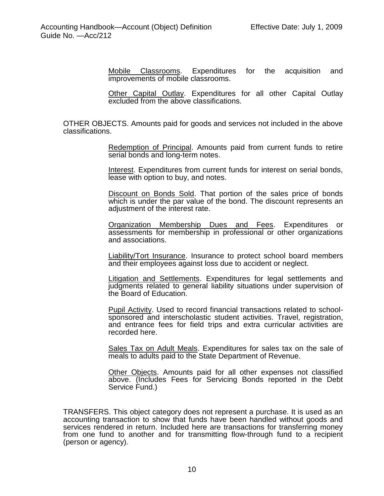Mobile Classrooms. Expenditures for the acquisition and improvements of mobile classrooms.

Other Capital Outlay. Expenditures for all other Capital Outlay excluded from the above classifications.

OTHER OBJECTS. Amounts paid for goods and services not included in the above classifications.

> Redemption of Principal. Amounts paid from current funds to retire serial bonds and long-term notes.

> Interest. Expenditures from current funds for interest on serial bonds, lease with option to buy, and notes.

> Discount on Bonds Sold. That portion of the sales price of bonds which is under the par value of the bond. The discount represents an adjustment of the interest rate.

> **Organization Membership Dues and Fees. Expenditures or** assessments for membership in professional or other organizations and associations.

> Liability/Tort Insurance. Insurance to protect school board members and their employees against loss due to accident or neglect.

> Litigation and Settlements. Expenditures for legal settlements and judgments related to general liability situations under supervision of the Board of Education.

> Pupil Activity. Used to record financial transactions related to schoolsponsored and interscholastic student activities. Travel, registration, and entrance fees for field trips and extra curricular activities are recorded here.

> Sales Tax on Adult Meals. Expenditures for sales tax on the sale of meals to adults paid to the State Department of Revenue.

> Other Objects. Amounts paid for all other expenses not classified above. (Includes Fees for Servicing Bonds reported in the Debt Service Fund.)

TRANSFERS. This object category does not represent a purchase. It is used as an accounting transaction to show that funds have been handled without goods and services rendered in return. Included here are transactions for transferring money from one fund to another and for transmitting flow-through fund to a recipient (person or agency).